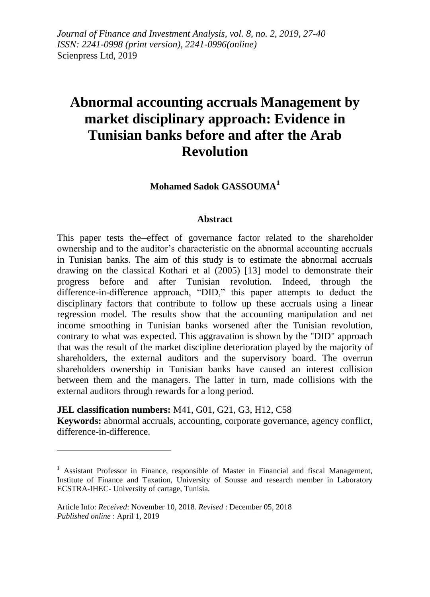*Journal of Finance and Investment Analysis, vol. 8, no. 2, 2019, 27-40 ISSN: 2241-0998 (print version), 2241-0996(online)* Scienpress Ltd, 2019

# **Abnormal accounting accruals Management by market disciplinary approach: Evidence in Tunisian banks before and after the Arab Revolution**

**Mohamed Sadok GASSOUMA<sup>1</sup>**

#### **Abstract**

This paper tests the effect of governance factor related to the shareholder ownership and to the auditor's characteristic on the abnormal accounting accruals in Tunisian banks. The aim of this study is to estimate the abnormal accruals drawing on the classical Kothari et al (2005) [13] model to demonstrate their progress before and after Tunisian revolution. Indeed, through the difference-in-difference approach, "DID," this paper attempts to deduct the disciplinary factors that contribute to follow up these accruals using a linear regression model. The results show that the accounting manipulation and net income smoothing in Tunisian banks worsened after the Tunisian revolution, contrary to what was expected. This aggravation is shown by the "DID" approach that was the result of the market discipline deterioration played by the majority of shareholders, the external auditors and the supervisory board. The overrun shareholders ownership in Tunisian banks have caused an interest collision between them and the managers. The latter in turn, made collisions with the external auditors through rewards for a long period.

**JEL classification numbers:** M41, G01, G21, G3, H12, C58

1

**Keywords:** abnormal accruals, accounting, corporate governance, agency conflict, difference-in-difference.

<sup>&</sup>lt;sup>1</sup> Assistant Professor in Finance, responsible of Master in Financial and fiscal Management, Institute of Finance and Taxation, University of Sousse and research member in Laboratory ECSTRA-IHEC- University of cartage, Tunisia.

Article Info: *Received*: November 10, 2018. *Revised* : December 05, 2018 *Published online* : April 1, 2019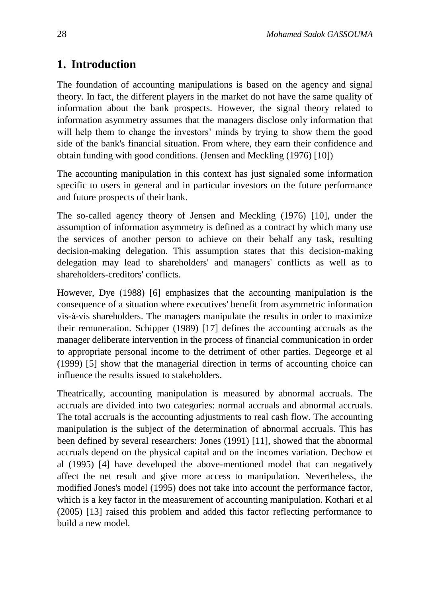### **1. Introduction**

The foundation of accounting manipulations is based on the agency and signal theory. In fact, the different players in the market do not have the same quality of information about the bank prospects. However, the signal theory related to information asymmetry assumes that the managers disclose only information that will help them to change the investors' minds by trying to show them the good side of the bank's financial situation. From where, they earn their confidence and obtain funding with good conditions. (Jensen and Meckling (1976) [10])

The accounting manipulation in this context has just signaled some information specific to users in general and in particular investors on the future performance and future prospects of their bank.

The so-called agency theory of Jensen and Meckling (1976) [10], under the assumption of information asymmetry is defined as a contract by which many use the services of another person to achieve on their behalf any task, resulting decision-making delegation. This assumption states that this decision-making delegation may lead to shareholders' and managers' conflicts as well as to shareholders-creditors' conflicts.

However, Dye (1988) [6] emphasizes that the accounting manipulation is the consequence of a situation where executives' benefit from asymmetric information vis-à-vis shareholders. The managers manipulate the results in order to maximize their remuneration. Schipper (1989) [17] defines the accounting accruals as the manager deliberate intervention in the process of financial communication in order to appropriate personal income to the detriment of other parties. Degeorge et al (1999) [5] show that the managerial direction in terms of accounting choice can influence the results issued to stakeholders.

Theatrically, accounting manipulation is measured by abnormal accruals. The accruals are divided into two categories: normal accruals and abnormal accruals. The total accruals is the accounting adjustments to real cash flow. The accounting manipulation is the subject of the determination of abnormal accruals. This has been defined by several researchers: Jones (1991) [11], showed that the abnormal accruals depend on the physical capital and on the incomes variation. Dechow et al (1995) [4] have developed the above-mentioned model that can negatively affect the net result and give more access to manipulation. Nevertheless, the modified Jones's model (1995) does not take into account the performance factor, which is a key factor in the measurement of accounting manipulation. Kothari et al (2005) [13] raised this problem and added this factor reflecting performance to build a new model.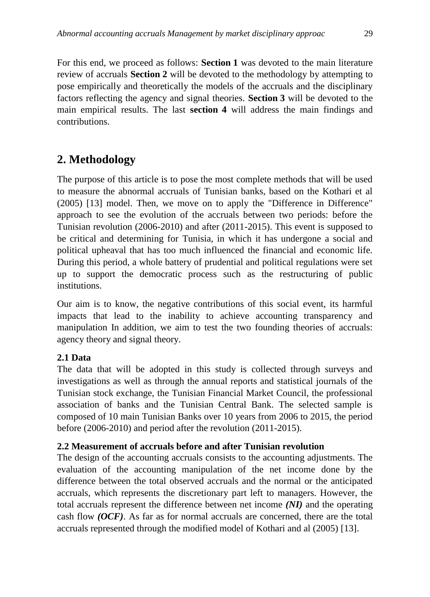For this end, we proceed as follows: **Section 1** was devoted to the main literature review of accruals **Section 2** will be devoted to the methodology by attempting to pose empirically and theoretically the models of the accruals and the disciplinary factors reflecting the agency and signal theories. **Section 3** will be devoted to the main empirical results. The last **section 4** will address the main findings and contributions.

### **2. Methodology**

The purpose of this article is to pose the most complete methods that will be used to measure the abnormal accruals of Tunisian banks, based on the Kothari et al (2005) [13] model. Then, we move on to apply the "Difference in Difference" approach to see the evolution of the accruals between two periods: before the Tunisian revolution (2006-2010) and after (2011-2015). This event is supposed to be critical and determining for Tunisia, in which it has undergone a social and political upheaval that has too much influenced the financial and economic life. During this period, a whole battery of prudential and political regulations were set up to support the democratic process such as the restructuring of public institutions.

Our aim is to know, the negative contributions of this social event, its harmful impacts that lead to the inability to achieve accounting transparency and manipulation In addition, we aim to test the two founding theories of accruals: agency theory and signal theory.

### **2.1 Data**

The data that will be adopted in this study is collected through surveys and investigations as well as through the annual reports and statistical journals of the Tunisian stock exchange, the Tunisian Financial Market Council, the professional association of banks and the Tunisian Central Bank. The selected sample is composed of 10 main Tunisian Banks over 10 years from 2006 to 2015, the period before (2006-2010) and period after the revolution (2011-2015).

### **2.2 Measurement of accruals before and after Tunisian revolution**

The design of the accounting accruals consists to the accounting adjustments. The evaluation of the accounting manipulation of the net income done by the difference between the total observed accruals and the normal or the anticipated accruals, which represents the discretionary part left to managers. However, the total accruals represent the difference between net income *(NI)* and the operating cash flow *(OCF)*. As far as for normal accruals are concerned, there are the total accruals represented through the modified model of Kothari and al (2005) [13].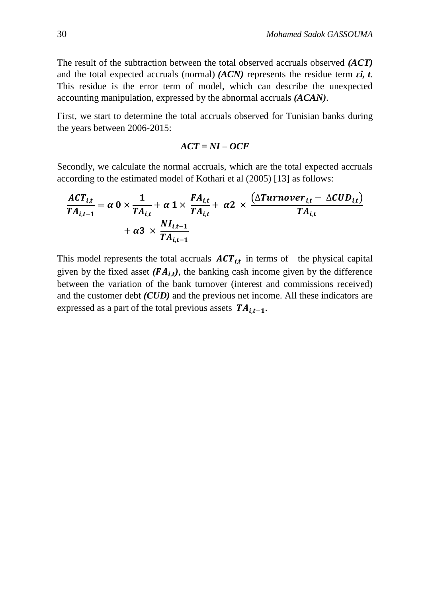The result of the subtraction between the total observed accruals observed *(ACT)* and the total expected accruals (normal)  $(ACN)$  represents the residue term  $\epsilon i$ ,  $t$ . This residue is the error term of model, which can describe the unexpected accounting manipulation, expressed by the abnormal accruals *(ACAN)*.

First, we start to determine the total accruals observed for Tunisian banks during the years between 2006-2015:

$$
ACT = NI-OCF
$$

Secondly, we calculate the normal accruals, which are the total expected accruals according to the estimated model of Kothari et al (2005) [13] as follows:

$$
\frac{ACT_{i,t}}{TA_{i,t-1}} = \alpha \ 0 \times \frac{1}{TA_{i,t}} + \alpha \ 1 \times \frac{FA_{i,t}}{TA_{i,t}} + \alpha \ 2 \times \frac{(\Delta Turnover_{i,t} - \Delta CUD_{i,t})}{TA_{i,t}} + \alpha \ 3 \times \frac{NI_{i,t-1}}{TA_{i,t-1}}
$$

This model represents the total accruals  $ACT_{i,t}$  in terms of the physical capital given by the fixed asset  $(FA_{i,t})$ , the banking cash income given by the difference between the variation of the bank turnover (interest and commissions received) and the customer debt *(CUD)* and the previous net income. All these indicators are expressed as a part of the total previous assets  $TA_{i,t-1}$ .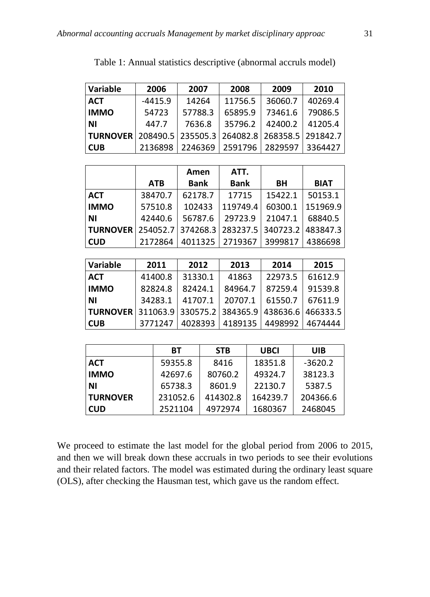| Variable        | 2006      | 2007     | 2008    | 2009              | 2010     |
|-----------------|-----------|----------|---------|-------------------|----------|
| <b>ACT</b>      | $-4415.9$ | 14264    | 11756.5 | 36060.7           | 40269.4  |
| <b>IMMO</b>     | 54723     | 57788.3  | 65895.9 | 73461.6           | 79086.5  |
| <b>NI</b>       | 447.7     | 7636.8   | 35796.2 | 42400.2           | 41205.4  |
| <b>TURNOVER</b> | 208490.5  | 235505.3 |         | 264082.8 268358.5 | 291842.7 |
| <b>CUB</b>      | 2136898   | 2246369  | 2591796 | 2829597           | 3364427  |

Table 1: Annual statistics descriptive (abnormal accruls model)

|                 |            | Amen        | ATT.                                         |         |             |
|-----------------|------------|-------------|----------------------------------------------|---------|-------------|
|                 | <b>ATB</b> | <b>Bank</b> | <b>Bank</b>                                  | BH      | <b>BIAT</b> |
| <b>ACT</b>      | 38470.7    | 62178.7     | 17715                                        | 15422.1 | 50153.1     |
| <b>IMMO</b>     | 57510.8    | 102433      | 119749.4                                     | 60300.1 | 151969.9    |
| l NI            | 42440.6    | 56787.6     | 29723.9                                      | 21047.1 | 68840.5     |
| <b>TURNOVER</b> |            |             | 254052.7 374268.3 283237.5 340723.2 483847.3 |         |             |
| <b>CUD</b>      | 2172864    |             | 4011325   2719367                            | 3999817 | 4386698     |

| Variable                                                     | 2011    | 2012    | 2013    | 2014    | 2015    |
|--------------------------------------------------------------|---------|---------|---------|---------|---------|
| <b>ACT</b>                                                   | 41400.8 | 31330.1 | 41863   | 22973.5 | 61612.9 |
| <b>IMMO</b>                                                  | 82824.8 | 82424.1 | 84964.7 | 87259.4 | 91539.8 |
| <b>NI</b>                                                    | 34283.1 | 41707.1 | 20707.1 | 61550.7 | 67611.9 |
| <b>TURNOVER</b> 311063.9 330575.2 384365.9 438636.6 466333.5 |         |         |         |         |         |
| l CUB                                                        | 3771247 | 4028393 | 4189135 | 4498992 | 4674444 |

|                 | BТ       | <b>STB</b> | <b>UBCI</b> | UIB       |
|-----------------|----------|------------|-------------|-----------|
| <b>ACT</b>      | 59355.8  | 8416       | 18351.8     | $-3620.2$ |
| <b>IMMO</b>     | 42697.6  | 80760.2    | 49324.7     | 38123.3   |
| ΝI              | 65738.3  | 8601.9     | 22130.7     | 5387.5    |
| <b>TURNOVER</b> | 231052.6 | 414302.8   | 164239.7    | 204366.6  |
| <b>CUD</b>      | 2521104  | 4972974    | 1680367     | 2468045   |

We proceed to estimate the last model for the global period from 2006 to 2015, and then we will break down these accruals in two periods to see their evolutions and their related factors. The model was estimated during the ordinary least square (OLS), after checking the Hausman test, which gave us the random effect.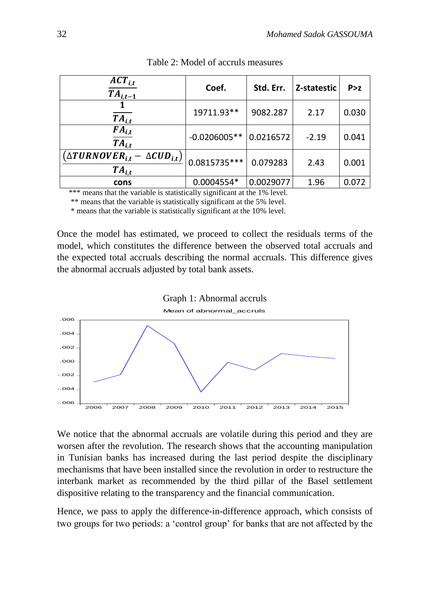| $ACT_{i,t}$<br>$TA_{i,t-1}$                                         | Coef.          | Std. Err. | Z-statestic | P > z |
|---------------------------------------------------------------------|----------------|-----------|-------------|-------|
| $TA_{i,t}$                                                          | 19711.93**     | 9082.287  | 2.17        | 0.030 |
| $FA_{i,t}$<br>$T A_{i,t}$                                           | $-0.0206005**$ | 0.0216572 | $-2.19$     | 0.041 |
| $\left(\Delta TURNOVER_{i,t}-\Delta CUD_{i,t}\right)$<br>$TA_{i,t}$ | 0.0815735 ***  | 0.079283  | 2.43        | 0.001 |
| cons                                                                | 0.0004554*     | 0.0029077 | 1.96        | 0.072 |

Table 2: Model of accruls measures

\*\*\* means that the variable is statistically significant at the 1% level.

\*\* means that the variable is statistically significant at the 5% level.

\* means that the variable is statistically significant at the 10% level.

Once the model has estimated, we proceed to collect the residuals terms of the model, which constitutes the difference between the observed total accruals and the expected total accruals describing the normal accruals. This difference gives the abnormal accruals adjusted by total bank assets.



We notice that the abnormal accruals are volatile during this period and they are worsen after the revolution. The research shows that the accounting manipulation in Tunisian banks has increased during the last period despite the disciplinary mechanisms that have been installed since the revolution in order to restructure the interbank market as recommended by the third pillar of the Basel settlement dispositive relating to the transparency and the financial communication.

Hence, we pass to apply the difference-in-difference approach, which consists of two groups for two periods: a 'control group' for banks that are not affected by the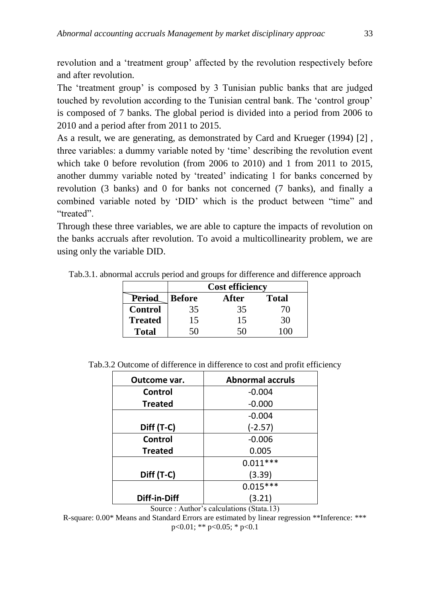revolution and a 'treatment group' affected by the revolution respectively before and after revolution.

The 'treatment group' is composed by 3 Tunisian public banks that are judged touched by revolution according to the Tunisian central bank. The 'control group' is composed of 7 banks. The global period is divided into a period from 2006 to 2010 and a period after from 2011 to 2015.

As a result, we are generating, as demonstrated by Card and Krueger (1994) [2] , three variables: a dummy variable noted by 'time' describing the revolution event which take 0 before revolution (from 2006 to 2010) and 1 from 2011 to 2015, another dummy variable noted by 'treated' indicating 1 for banks concerned by revolution (3 banks) and 0 for banks not concerned (7 banks), and finally a combined variable noted by 'DID' which is the product between "time" and "treated".

Through these three variables, we are able to capture the impacts of revolution on the banks accruals after revolution. To avoid a multicollinearity problem, we are using only the variable DID.

Tab.3.1. abnormal accruls period and groups for difference and difference approach

|                | <b>Cost efficiency</b> |       |              |  |  |
|----------------|------------------------|-------|--------------|--|--|
| Period         | <b>Before</b>          | After | <b>Total</b> |  |  |
| <b>Control</b> | 35                     | 35    | 70           |  |  |
| <b>Treated</b> | 15                     | 15    | 30           |  |  |
| <b>Total</b>   | 50                     | 50    |              |  |  |

| Tab.3.2 Outcome of difference in difference to cost and profit efficiency |  |  |  |  |  |  |
|---------------------------------------------------------------------------|--|--|--|--|--|--|
|---------------------------------------------------------------------------|--|--|--|--|--|--|

| Outcome var.   | <b>Abnormal accruls</b> |
|----------------|-------------------------|
| Control        | $-0.004$                |
| <b>Treated</b> | $-0.000$                |
|                | $-0.004$                |
| Diff (T-C)     | $(-2.57)$               |
| Control        | $-0.006$                |
| <b>Treated</b> | 0.005                   |
|                | $0.011***$              |
| Diff (T-C)     | (3.39)                  |
|                | $0.015***$              |
| Diff-in-Diff   | (3.21)                  |

Source : Author's calculations (Stata.13)

R-square: 0.00\* Means and Standard Errors are estimated by linear regression \*\*Inference: \*\*\* p<0.01; \*\* p<0.05; \* p<0.1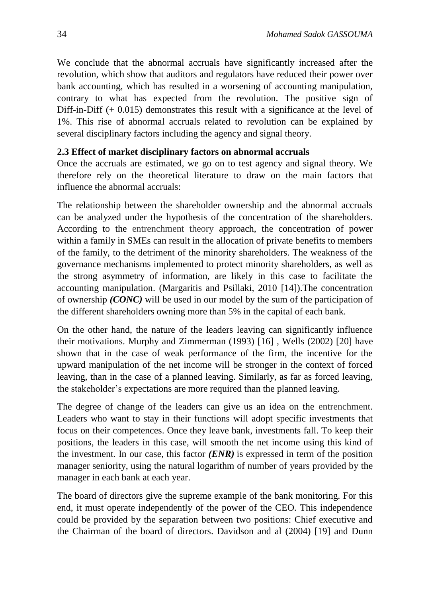We conclude that the abnormal accruals have significantly increased after the revolution, which show that auditors and regulators have reduced their power over bank accounting, which has resulted in a worsening of accounting manipulation, contrary to what has expected from the revolution. The positive sign of Diff-in-Diff (+ 0.015) demonstrates this result with a significance at the level of 1%. This rise of abnormal accruals related to revolution can be explained by several disciplinary factors including the agency and signal theory.

#### **2.3 Effect of market disciplinary factors on abnormal accruals**

Once the accruals are estimated, we go on to test agency and signal theory. We therefore rely on the theoretical literature to draw on the main factors that influence the abnormal accruals:

The relationship between the shareholder ownership and the abnormal accruals can be analyzed under the hypothesis of the concentration of the shareholders. According to the entrenchment theory approach, the concentration of power within a family in SMEs can result in the allocation of private benefits to members of the family, to the detriment of the minority shareholders. The weakness of the governance mechanisms implemented to protect minority shareholders, as well as the strong asymmetry of information, are likely in this case to facilitate the accounting manipulation. (Margaritis and Psillaki, 2010 [14]).The concentration of ownership *(CONC)* will be used in our model by the sum of the participation of the different shareholders owning more than 5% in the capital of each bank.

On the other hand, the nature of the leaders leaving can significantly influence their motivations. Murphy and Zimmerman (1993) [16] , Wells (2002) [20] have shown that in the case of weak performance of the firm, the incentive for the upward manipulation of the net income will be stronger in the context of forced leaving, than in the case of a planned leaving. Similarly, as far as forced leaving, the stakeholder's expectations are more required than the planned leaving.

The degree of change of the leaders can give us an idea on the entrenchment. Leaders who want to stay in their functions will adopt specific investments that focus on their competences. Once they leave bank, investments fall. To keep their positions, the leaders in this case, will smooth the net income using this kind of the investment. In our case, this factor *(ENR)* is expressed in term of the position manager seniority, using the natural logarithm of number of years provided by the manager in each bank at each year.

The board of directors give the supreme example of the bank monitoring. For this end, it must operate independently of the power of the CEO. This independence could be provided by the separation between two positions: Chief executive and the Chairman of the board of directors. Davidson and al (2004) [19] and Dunn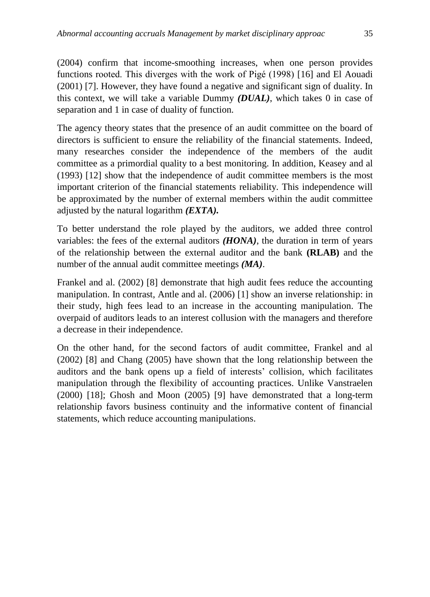(2004) confirm that income-smoothing increases, when one person provides functions rooted. This diverges with the work of Pigé (1998) [16] and El Aouadi (2001) [7]. However, they have found a negative and significant sign of duality. In this context, we will take a variable Dummy *(DUAL)*, which takes 0 in case of separation and 1 in case of duality of function.

The agency theory states that the presence of an audit committee on the board of directors is sufficient to ensure the reliability of the financial statements. Indeed, many researches consider the independence of the members of the audit committee as a primordial quality to a best monitoring. In addition, Keasey and al (1993) [12] show that the independence of audit committee members is the most important criterion of the financial statements reliability. This independence will be approximated by the number of external members within the audit committee adjusted by the natural logarithm *(EXTA).*

To better understand the role played by the auditors, we added three control variables: the fees of the external auditors *(HONA)*, the duration in term of years of the relationship between the external auditor and the bank **(RLAB)** and the number of the annual audit committee meetings *(MA)*.

Frankel and al. (2002) [8] demonstrate that high audit fees reduce the accounting manipulation. In contrast, Antle and al. (2006) [1] show an inverse relationship: in their study, high fees lead to an increase in the accounting manipulation. The overpaid of auditors leads to an interest collusion with the managers and therefore a decrease in their independence.

On the other hand, for the second factors of audit committee, Frankel and al (2002) [8] and Chang (2005) have shown that the long relationship between the auditors and the bank opens up a field of interests' collision, which facilitates manipulation through the flexibility of accounting practices. Unlike Vanstraelen (2000) [18]; Ghosh and Moon (2005) [9] have demonstrated that a long-term relationship favors business continuity and the informative content of financial statements, which reduce accounting manipulations.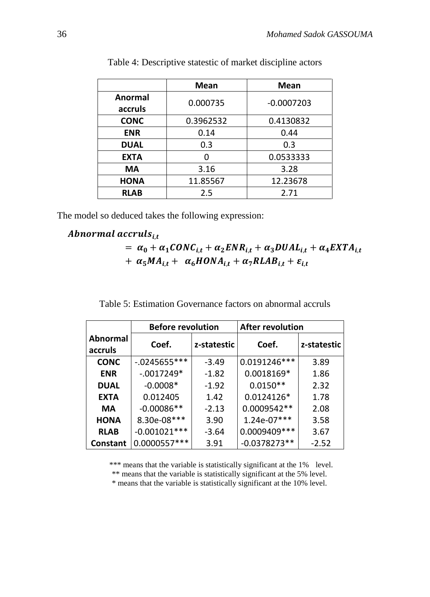|                | <b>Mean</b> | <b>Mean</b>  |
|----------------|-------------|--------------|
| <b>Anormal</b> | 0.000735    | $-0.0007203$ |
| accruls        |             |              |
| <b>CONC</b>    | 0.3962532   | 0.4130832    |
| <b>ENR</b>     | 0.14        | 0.44         |
| <b>DUAL</b>    | 0.3         | 0.3          |
| <b>EXTA</b>    | n           | 0.0533333    |
| MА             | 3.16        | 3.28         |
| <b>HONA</b>    | 11.85567    | 12.23678     |
| <b>RLAB</b>    | 2.5         | 2.71         |

Table 4: Descriptive statestic of market discipline actors

The model so deduced takes the following expression:

### Abnormal accruls $_{i,t}$

=  $\alpha_0 + \alpha_1 CONC_{i,t} + \alpha_2 ENR_{i,t} + \alpha_3 DUAL_{i,t} + \alpha_4 EXTA_{i,t}$ +  $\alpha_5 M A_{i,t}$  +  $\alpha_6 H O N A_{i,t}$  +  $\alpha_7 R L A B_{i,t}$  +  $\varepsilon_{i,t}$ 

|                            | <b>Before revolution</b> |             | <b>After revolution</b> |             |  |
|----------------------------|--------------------------|-------------|-------------------------|-------------|--|
| <b>Abnormal</b><br>accruls | Coef.                    | z-statestic | Coef.                   | z-statestic |  |
| <b>CONC</b>                | $-0.0245655***$          | $-3.49$     | 0.0191246***            | 3.89        |  |
| <b>ENR</b>                 | $-.0017249*$             | $-1.82$     | 0.0018169*              | 1.86        |  |
| <b>DUAL</b>                | $-0.0008*$               | $-1.92$     | $0.0150**$              | 2.32        |  |
| <b>EXTA</b>                | 0.012405                 | 1.42        | 0.0124126*              | 1.78        |  |
| МA                         | $-0.00086**$             | $-2.13$     | 0.0009542**             | 2.08        |  |
| <b>HONA</b>                | 8.30e-08***              | 3.90        | $1.24e-07***$           | 3.58        |  |
| <b>RLAB</b>                | $-0.001021***$           | $-3.64$     | 0.0009409 ***           | 3.67        |  |
| <b>Constant</b>            | 0.0000557***             | 3.91        | $-0.0378273**$          | $-2.52$     |  |

\*\*\* means that the variable is statistically significant at the 1% level.

\*\* means that the variable is statistically significant at the 5% level.

\* means that the variable is statistically significant at the 10% level.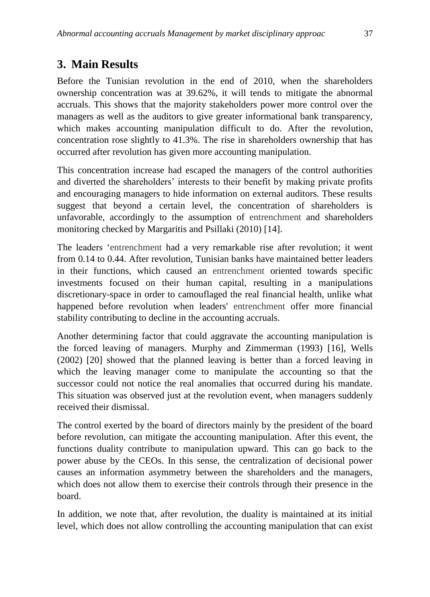### **3. Main Results**

Before the Tunisian revolution in the end of 2010, when the shareholders ownership concentration was at 39.62%, it will tends to mitigate the abnormal accruals. This shows that the majority stakeholders power more control over the managers as well as the auditors to give greater informational bank transparency, which makes accounting manipulation difficult to do. After the revolution, concentration rose slightly to 41.3%. The rise in shareholders ownership that has occurred after revolution has given more accounting manipulation.

This concentration increase had escaped the managers of the control authorities and diverted the shareholders' interests to their benefit by making private profits and encouraging managers to hide information on external auditors. These results suggest that beyond a certain level, the concentration of shareholders is unfavorable, accordingly to the assumption of entrenchment and shareholders monitoring checked by Margaritis and Psillaki (2010) [14].

The leaders 'entrenchment had a very remarkable rise after revolution; it went from 0.14 to 0.44. After revolution, Tunisian banks have maintained better leaders in their functions, which caused an entrenchment oriented towards specific investments focused on their human capital, resulting in a manipulations discretionary-space in order to camouflaged the real financial health, unlike what happened before revolution when leaders' entrenchment offer more financial stability contributing to decline in the accounting accruals.

Another determining factor that could aggravate the accounting manipulation is the forced leaving of managers. Murphy and Zimmerman (1993) [16], Wells (2002) [20] showed that the planned leaving is better than a forced leaving in which the leaving manager come to manipulate the accounting so that the successor could not notice the real anomalies that occurred during his mandate. This situation was observed just at the revolution event, when managers suddenly received their dismissal.

The control exerted by the board of directors mainly by the president of the board before revolution, can mitigate the accounting manipulation. After this event, the functions duality contribute to manipulation upward. This can go back to the power abuse by the CEOs. In this sense, the centralization of decisional power causes an information asymmetry between the shareholders and the managers, which does not allow them to exercise their controls through their presence in the board.

In addition, we note that, after revolution, the duality is maintained at its initial level, which does not allow controlling the accounting manipulation that can exist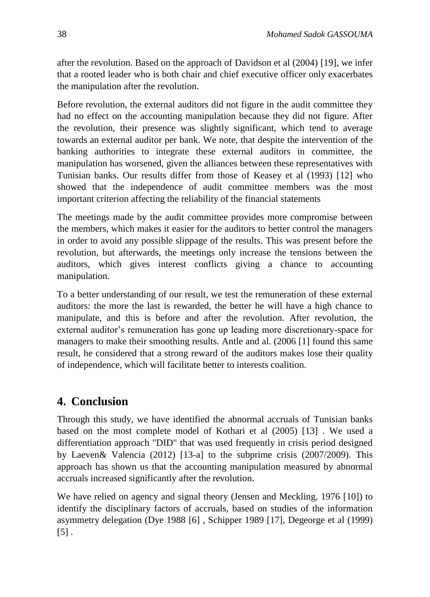after the revolution. Based on the approach of Davidson et al (2004) [19], we infer that a rooted leader who is both chair and chief executive officer only exacerbates the manipulation after the revolution.

Before revolution, the external auditors did not figure in the audit committee they had no effect on the accounting manipulation because they did not figure. After the revolution, their presence was slightly significant, which tend to average towards an external auditor per bank. We note, that despite the intervention of the banking authorities to integrate these external auditors in committee, the manipulation has worsened, given the alliances between these representatives with Tunisian banks. Our results differ from those of Keasey et al (1993) [12] who showed that the independence of audit committee members was the most important criterion affecting the reliability of the financial statements

The meetings made by the audit committee provides more compromise between the members, which makes it easier for the auditors to better control the managers in order to avoid any possible slippage of the results. This was present before the revolution, but afterwards, the meetings only increase the tensions between the auditors, which gives interest conflicts giving a chance to accounting manipulation.

To a better understanding of our result, we test the remuneration of these external auditors: the more the last is rewarded, the better he will have a high chance to manipulate, and this is before and after the revolution. After revolution, the external auditor's remuneration has gone up leading more discretionary-space for managers to make their smoothing results. Antle and al. (2006 [1] found this same result, he considered that a strong reward of the auditors makes lose their quality of independence, which will facilitate better to interests coalition.

## **4. Conclusion**

Through this study, we have identified the abnormal accruals of Tunisian banks based on the most complete model of Kothari et al (2005) [13] . We used a differentiation approach "DID" that was used frequently in crisis period designed by Laeven& Valencia (2012) [13-a] to the subprime crisis (2007/2009). This approach has shown us that the accounting manipulation measured by abnormal accruals increased significantly after the revolution.

We have relied on agency and signal theory (Jensen and Meckling, 1976 [10]) to identify the disciplinary factors of accruals, based on studies of the information asymmetry delegation (Dye 1988 [6] , Schipper 1989 [17], Degeorge et al (1999)  $\lceil 5 \rceil$ .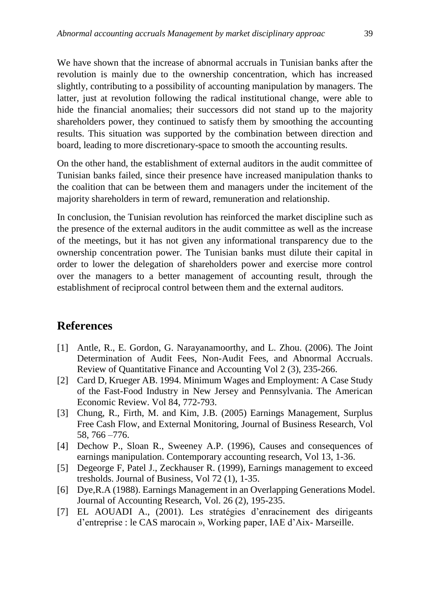We have shown that the increase of abnormal accruals in Tunisian banks after the revolution is mainly due to the ownership concentration, which has increased slightly, contributing to a possibility of accounting manipulation by managers. The latter, just at revolution following the radical institutional change, were able to hide the financial anomalies; their successors did not stand up to the majority shareholders power, they continued to satisfy them by smoothing the accounting results. This situation was supported by the combination between direction and board, leading to more discretionary-space to smooth the accounting results.

On the other hand, the establishment of external auditors in the audit committee of Tunisian banks failed, since their presence have increased manipulation thanks to the coalition that can be between them and managers under the incitement of the majority shareholders in term of reward, remuneration and relationship.

In conclusion, the Tunisian revolution has reinforced the market discipline such as the presence of the external auditors in the audit committee as well as the increase of the meetings, but it has not given any informational transparency due to the ownership concentration power. The Tunisian banks must dilute their capital in order to lower the delegation of shareholders power and exercise more control over the managers to a better management of accounting result, through the establishment of reciprocal control between them and the external auditors.

### **References**

- [1] Antle, R., E. Gordon, G. Narayanamoorthy, and L. Zhou. (2006). The Joint Determination of Audit Fees, Non-Audit Fees, and Abnormal Accruals. Review of Quantitative Finance and Accounting Vol 2 (3), 235-266.
- [2] Card D, Krueger AB. 1994. Minimum Wages and Employment: A Case Study of the Fast-Food Industry in New Jersey and Pennsylvania. The American Economic Review. Vol 84, 772-793.
- [3] Chung, R., Firth, M. and Kim, J.B. (2005) Earnings Management, Surplus Free Cash Flow, and External Monitoring, Journal of Business Research, Vol 58, 766 –776.
- [4] Dechow P., Sloan R., Sweeney A.P. (1996), Causes and consequences of earnings manipulation. Contemporary accounting research, Vol 13, 1-36.
- [5] Degeorge F, Patel J., Zeckhauser R. (1999), Earnings management to exceed tresholds. Journal of Business, Vol 72 (1), 1-35.
- [6] Dye,R.A (1988). Earnings Management in an Overlapping Generations Model. Journal of Accounting Research, Vol. 26 (2), 195-235.
- [7] EL AOUADI A., (2001). Les stratégies d'enracinement des dirigeants d'entreprise : le CAS marocain », Working paper, IAE d'Aix- Marseille.